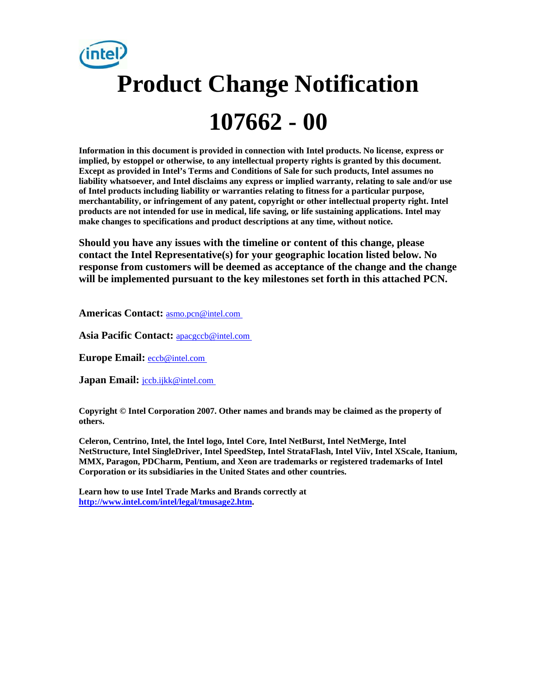# **Product Change Notification 107662 - 00**

**Information in this document is provided in connection with Intel products. No license, express or implied, by estoppel or otherwise, to any intellectual property rights is granted by this document. Except as provided in Intel's Terms and Conditions of Sale for such products, Intel assumes no liability whatsoever, and Intel disclaims any express or implied warranty, relating to sale and/or use of Intel products including liability or warranties relating to fitness for a particular purpose, merchantability, or infringement of any patent, copyright or other intellectual property right. Intel products are not intended for use in medical, life saving, or life sustaining applications. Intel may make changes to specifications and product descriptions at any time, without notice.** 

**Should you have any issues with the timeline or content of this change, please contact the Intel Representative(s) for your geographic location listed below. No response from customers will be deemed as acceptance of the change and the change will be implemented pursuant to the key milestones set forth in this attached PCN.** 

**Americas Contact:** [asmo.pcn@intel.com](mailto:asmo.pcn@intel.com)

**Asia Pacific Contact:** [apacgccb@intel.com](mailto:apacgccb@intel.com)

**Europe Email:** [eccb@intel.com](mailto:eccb@intel.com)

Japan Email: **[jccb.ijkk@intel.com](mailto:jccb.ijkk@intel.com)** 

**Copyright © Intel Corporation 2007. Other names and brands may be claimed as the property of others.**

**Celeron, Centrino, Intel, the Intel logo, Intel Core, Intel NetBurst, Intel NetMerge, Intel NetStructure, Intel SingleDriver, Intel SpeedStep, Intel StrataFlash, Intel Viiv, Intel XScale, Itanium, MMX, Paragon, PDCharm, Pentium, and Xeon are trademarks or registered trademarks of Intel Corporation or its subsidiaries in the United States and other countries.** 

**Learn how to use Intel Trade Marks and Brands correctly at [http://www.intel.com/intel/legal/tmusage2.htm.](http://www.intel.com/intel/legal/tmusage2.htm)**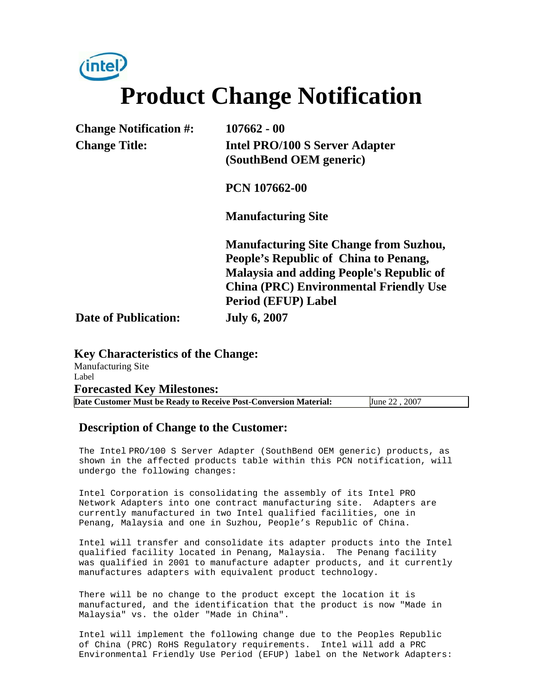*(*intel **Product Change Notification** 

| <b>Change Notification #:</b> | $107662 - 00$                                 |
|-------------------------------|-----------------------------------------------|
| <b>Change Title:</b>          | <b>Intel PRO/100 S Server Adapter</b>         |
|                               | (SouthBend OEM generic)                       |
|                               | <b>PCN 107662-00</b>                          |
|                               | <b>Manufacturing Site</b>                     |
|                               | <b>Manufacturing Site Change from Suzhou,</b> |
|                               | People's Republic of China to Penang,         |
|                               | Malaysia and adding People's Republic of      |
|                               | <b>China (PRC) Environmental Friendly Use</b> |
|                               | <b>Period (EFUP) Label</b>                    |
| <b>Date of Publication:</b>   | <b>July 6, 2007</b>                           |

**Key Characteristics of the Change:** Manufacturing Site Label **Forecasted Key Milestones: Date Customer Must be Ready to Receive Post-Conversion Material:** June 22 , 2007

#### **Description of Change to the Customer:**

The Intel PRO/100 S Server Adapter (SouthBend OEM generic) products, as shown in the affected products table within this PCN notification, will undergo the following changes:

Intel Corporation is consolidating the assembly of its Intel PRO Network Adapters into one contract manufacturing site. Adapters are currently manufactured in two Intel qualified facilities, one in Penang, Malaysia and one in Suzhou, People's Republic of China.

Intel will transfer and consolidate its adapter products into the Intel qualified facility located in Penang, Malaysia. The Penang facility was qualified in 2001 to manufacture adapter products, and it currently manufactures adapters with equivalent product technology.

There will be no change to the product except the location it is manufactured, and the identification that the product is now "Made in Malaysia" vs. the older "Made in China".

Intel will implement the following change due to the Peoples Republic of China (PRC) RoHS Regulatory requirements. Intel will add a PRC Environmental Friendly Use Period (EFUP) label on the Network Adapters: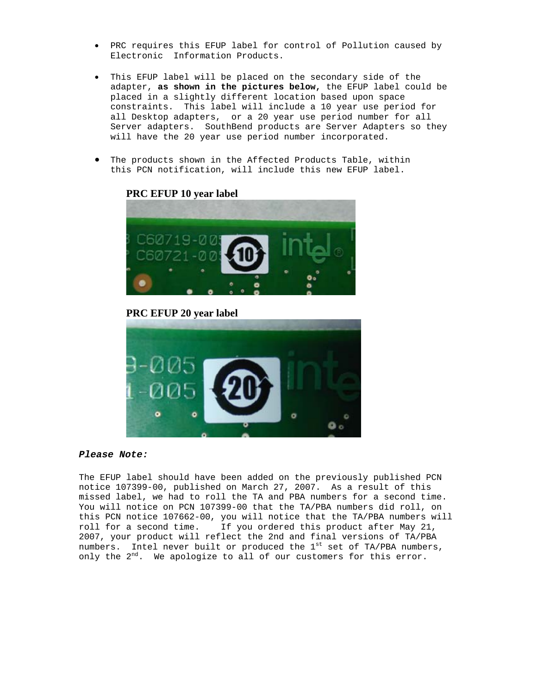- PRC requires this EFUP label for control of Pollution caused by Electronic Information Products.
- This EFUP label will be placed on the secondary side of the adapter, **as shown in the pictures below,** the EFUP label could be placed in a slightly different location based upon space constraints.This label will include a 10 year use period for all Desktop adapters, or a 20 year use period number for all Server adapters. SouthBend products are Server Adapters so they will have the 20 year use period number incorporated.
- The products shown in the Affected Products Table, within this PCN notification, will include this new EFUP label.



#### **PRC EFUP 10 year label**

**PRC EFUP 20 year label** 



#### *Please Note:*

The EFUP label should have been added on the previously published PCN notice 107399-00, published on March 27, 2007. As a result of this missed label, we had to roll the TA and PBA numbers for a second time. You will notice on PCN 107399-00 that the TA/PBA numbers did roll, on this PCN notice 107662-00, you will notice that the TA/PBA numbers will roll for a second time. If you ordered this product after May 21, 2007, your product will reflect the 2nd and final versions of TA/PBA numbers. Intel never built or produced the  $1<sup>st</sup>$  set of TA/PBA numbers, only the 2<sup>nd</sup>. We apologize to all of our customers for this error.